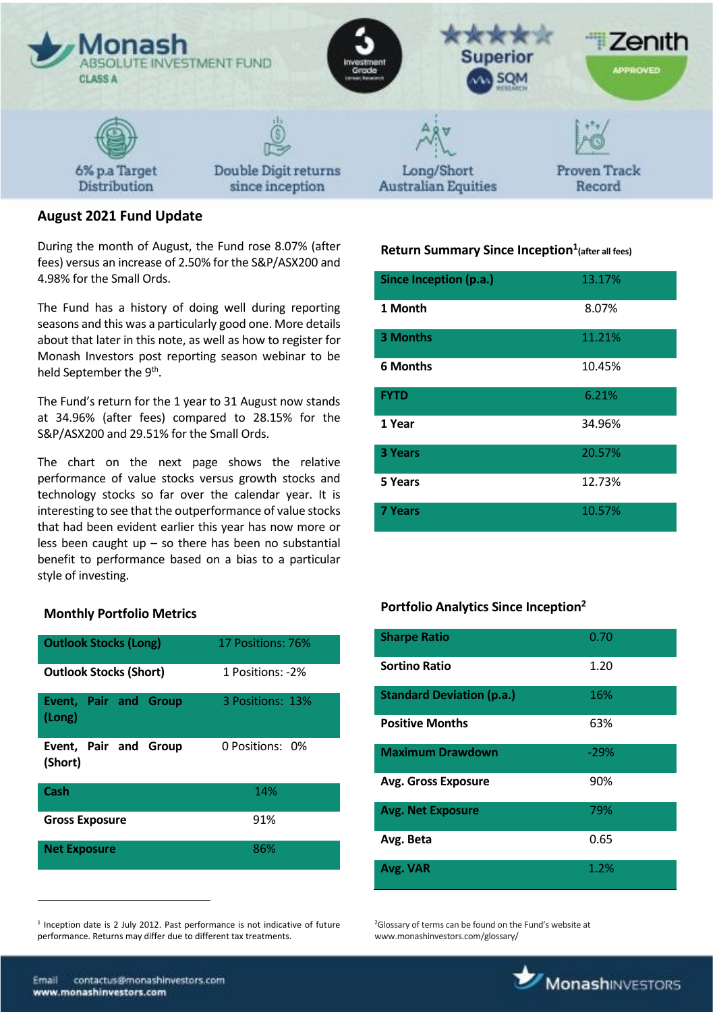

# **August 2021 Fund Update**

During the month of August, the Fund rose 8.07% (after fees) versus an increase of 2.50% for the S&P/ASX200 and 4.98% for the Small Ords.

The Fund has a history of doing well during reporting seasons and this was a particularly good one. More details about that later in this note, as well as how to register for Monash Investors post reporting season webinar to be held September the  $9^{\text{th}}$ .

The Fund's return for the 1 year to 31 August now stands at 34.96% (after fees) compared to 28.15% for the S&P/ASX200 and 29.51% for the Small Ords.

The chart on the next page shows the relative performance of value stocks versus growth stocks and technology stocks so far over the calendar year. It is interesting to see that the outperformance of value stocks that had been evident earlier this year has now more or less been caught up  $-$  so there has been no substantial benefit to performance based on a bias to a particular style of investing.

### **Monthly Portfolio Metrics**

| <b>Outlook Stocks (Long)</b>           | 17 Positions: 76% |  |
|----------------------------------------|-------------------|--|
| <b>Outlook Stocks (Short)</b>          | 1 Positions: -2%  |  |
| <b>Event, Pair and Group</b><br>(Long) | 3 Positions: 13%  |  |
| Event, Pair and Group<br>(Short)       | 0 Positions: 0%   |  |
| Cash                                   | 14%               |  |
| <b>Gross Exposure</b>                  | 91%               |  |
| <b>Net Exposure</b>                    | 86%               |  |

<sup>1</sup> Inception date is 2 July 2012. Past performance is not indicative of future performance. Returns may differ due to different tax treatments.

# **Return Summary Since Inception<sup>1</sup> (after all fees)**

| Since Inception (p.a.) | 13.17% |
|------------------------|--------|
| 1 Month                | 8.07%  |
| 3 Months               | 11.21% |
| <b>6 Months</b>        | 10.45% |
| <b>FYTD</b>            | 6.21%  |
| 1 Year                 | 34.96% |
| 3 Years                | 20.57% |
| 5 Years                | 12.73% |
| <b>7 Years</b>         | 10.57% |

## **Portfolio Analytics Since Inception<sup>2</sup>**

| <b>Sharpe Ratio</b>              | 0.70   |
|----------------------------------|--------|
| Sortino Ratio                    | 1.20   |
| <b>Standard Deviation (p.a.)</b> | 16%    |
| <b>Positive Months</b>           | 63%    |
| <b>Maximum Drawdown</b>          | $-29%$ |
| <b>Avg. Gross Exposure</b>       | 90%    |
| <b>Avg. Net Exposure</b>         | 79%    |
| Avg. Beta                        | 0.65   |
| Avg. VAR                         | 1.2%   |

<sup>2</sup>Glossary of terms can be found on the Fund's website at www.monashinvestors.com/glossary/

 $\overline{a}$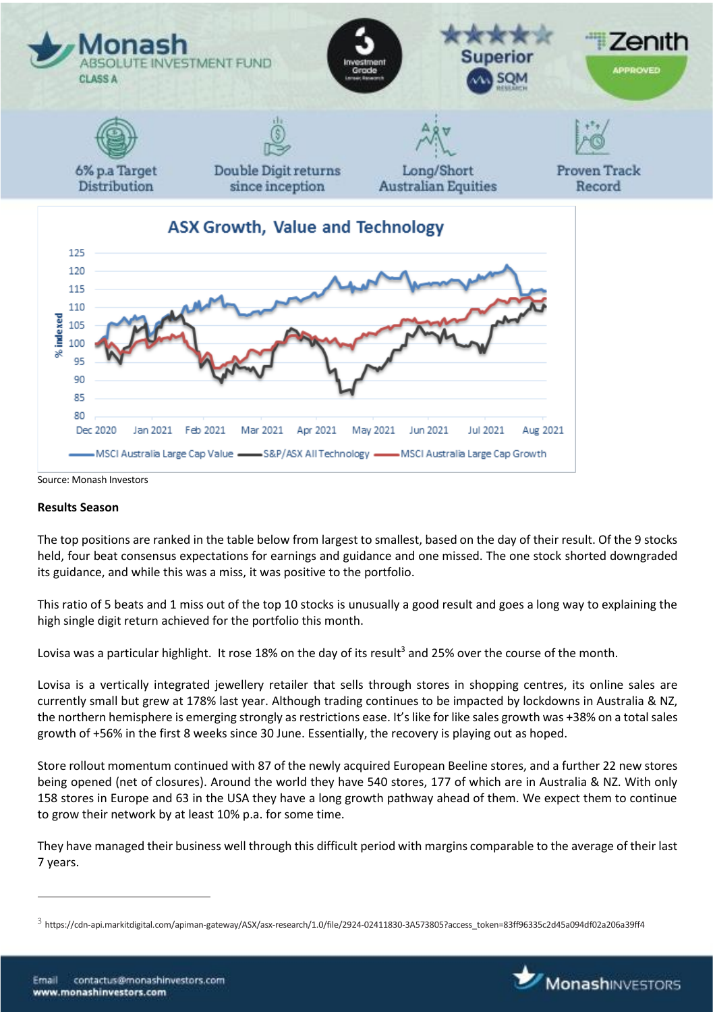

#### **Results Season**

The top positions are ranked in the table below from largest to smallest, based on the day of their result. Of the 9 stocks held, four beat consensus expectations for earnings and guidance and one missed. The one stock shorted downgraded its guidance, and while this was a miss, it was positive to the portfolio.

This ratio of 5 beats and 1 miss out of the top 10 stocks is unusually a good result and goes a long way to explaining the high single digit return achieved for the portfolio this month.

Lovisa was a particular highlight. It rose 18% on the day of its result<sup>3</sup> and 25% over the course of the month.

Lovisa is a vertically integrated jewellery retailer that sells through stores in shopping centres, its online sales are currently small but grew at 178% last year. Although trading continues to be impacted by lockdowns in Australia & NZ, the northern hemisphere is emerging strongly as restrictions ease. It's like for like sales growth was +38% on a total sales growth of +56% in the first 8 weeks since 30 June. Essentially, the recovery is playing out as hoped.

Store rollout momentum continued with 87 of the newly acquired European Beeline stores, and a further 22 new stores being opened (net of closures). Around the world they have 540 stores, 177 of which are in Australia & NZ. With only 158 stores in Europe and 63 in the USA they have a long growth pathway ahead of them. We expect them to continue to grow their network by at least 10% p.a. for some time.

They have managed their business well through this difficult period with margins comparable to the average of their last 7 years.

 $\overline{a}$ 



 $^3$  https://cdn-api.markitdigital.com/apiman-gateway/ASX/asx-research/1.0/file/2924-02411830-3A573805?access\_token=83ff96335c2d45a094df02a206a39ff4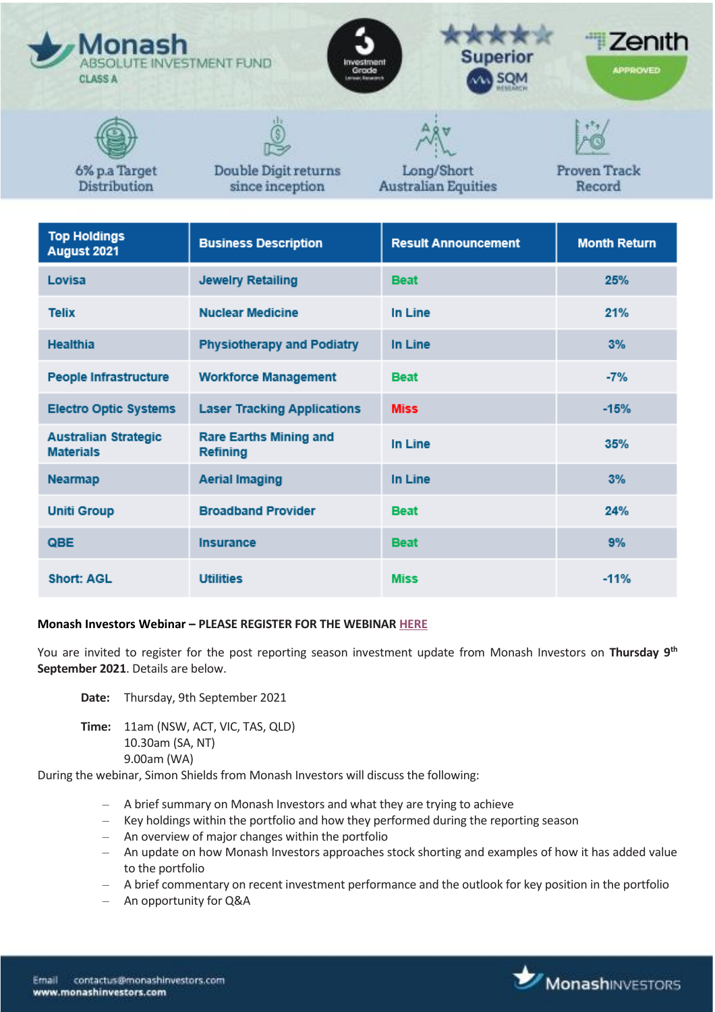| <b>Monash</b><br>ABSOLUTE INVESTMENT FUND<br><b>CLASS A</b> |                                         | <b>Superior</b><br>Investment<br>Grade<br><b>AN SQM</b><br><b>Lensair, Banarant</b> | Zenith<br><b>APPROVED</b>     |
|-------------------------------------------------------------|-----------------------------------------|-------------------------------------------------------------------------------------|-------------------------------|
|                                                             |                                         |                                                                                     |                               |
| 6% p.a Target<br><b>Distribution</b>                        | Double Digit returns<br>since inception | Long/Short<br><b>Australian Equities</b>                                            | <b>Proven Track</b><br>Record |

| <b>Top Holdings</b><br>August 2021              | <b>Business Description</b>                      | <b>Result Announcement</b> | <b>Month Return</b> |
|-------------------------------------------------|--------------------------------------------------|----------------------------|---------------------|
| Lovisa                                          | <b>Jewelry Retailing</b>                         | <b>Beat</b>                | 25%                 |
| <b>Telix</b>                                    | <b>Nuclear Medicine</b>                          | In Line                    | 21%                 |
| <b>Healthia</b>                                 | <b>Physiotherapy and Podiatry</b>                | In Line                    | 3%                  |
| <b>People Infrastructure</b>                    | <b>Workforce Management</b>                      | <b>Beat</b>                | $-7%$               |
| <b>Electro Optic Systems</b>                    | <b>Laser Tracking Applications</b>               | <b>Miss</b>                | $-15%$              |
| <b>Australian Strategic</b><br><b>Materials</b> | <b>Rare Earths Mining and</b><br><b>Refining</b> | In Line                    | 35%                 |
| <b>Nearmap</b>                                  | <b>Aerial Imaging</b>                            | In Line                    | 3%                  |
| <b>Uniti Group</b>                              | <b>Broadband Provider</b>                        | <b>Beat</b>                | 24%                 |
| QBE                                             | <b>Insurance</b>                                 | <b>Beat</b>                | 9%                  |
| <b>Short: AGL</b>                               | <b>Utilities</b>                                 | <b>Miss</b>                | $-11%$              |

#### **Monash Investors Webinar – PLEASE REGISTER FOR THE WEBINAR [HERE](https://us02web.zoom.us/webinar/register/2116296781782/WN_mV9Q4dxbSCOxBF4RYjfgCw)**

You are invited to register for the post reporting season investment update from Monash Investors on **Thursday 9th September 2021**. Details are below.

- **Date:** Thursday, 9th September 2021
- **Time:** 11am (NSW, ACT, VIC, TAS, QLD) 10.30am (SA, NT) 9.00am (WA)

During the webinar, Simon Shields from Monash Investors will discuss the following:

- A brief summary on Monash Investors and what they are trying to achieve
- Key holdings within the portfolio and how they performed during the reporting season
- An overview of major changes within the portfolio
- An update on how Monash Investors approaches stock shorting and examples of how it has added value to the portfolio
- A brief commentary on recent investment performance and the outlook for key position in the portfolio
- An opportunity for Q&A

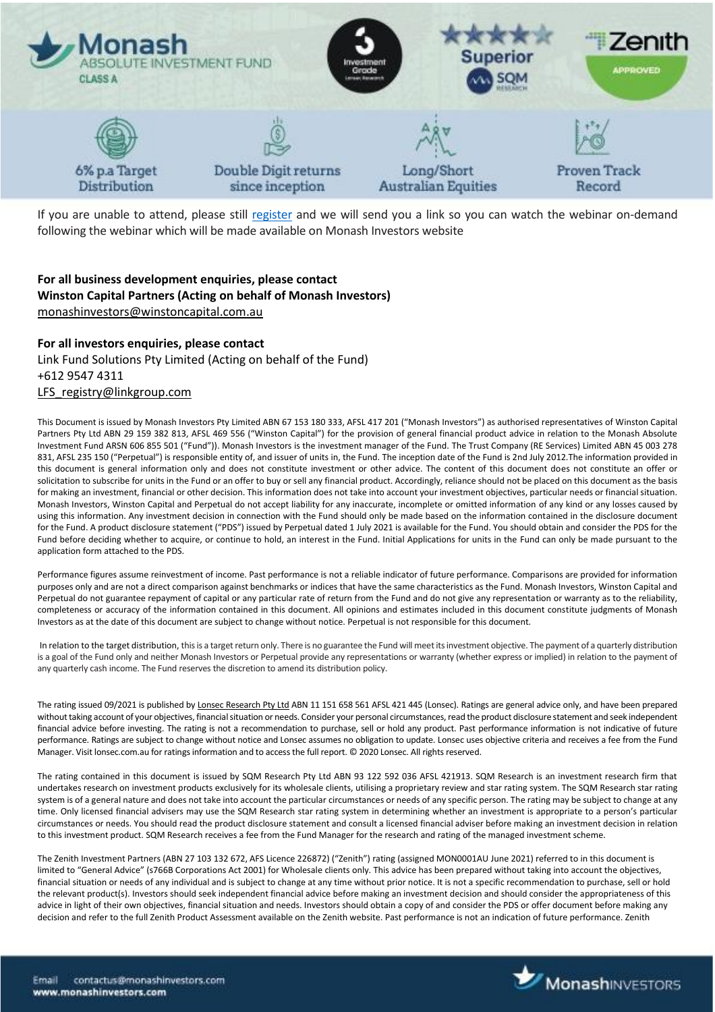

If you are unable to attend, please still [register](https://us02web.zoom.us/webinar/register/2116296781782/WN_mV9Q4dxbSCOxBF4RYjfgCw) and we will send you a link so you can watch the webinar on-demand following the webinar which will be made available on Monash Investors website

## **For all business development enquiries, please contact Winston Capital Partners (Acting on behalf of Monash Investors)** [monashinvestors@winstoncapital.com.au](mailto:monashinvestors@winstoncapital.com.au)

### **For all investors enquiries, please contact**

Link Fund Solutions Pty Limited (Acting on behalf of the Fund) +612 9547 4311 [LFS\\_registry@linkgroup.com](mailto:LFS_registry@linkgroup.com)

This Document is issued by Monash Investors Pty Limited ABN 67 153 180 333, AFSL 417 201 ("Monash Investors") as authorised representatives of Winston Capital Partners Pty Ltd ABN 29 159 382 813, AFSL 469 556 ("Winston Capital") for the provision of general financial product advice in relation to the Monash Absolute Investment Fund ARSN 606 855 501 ("Fund")). Monash Investors is the investment manager of the Fund. The Trust Company (RE Services) Limited ABN 45 003 278 831, AFSL 235 150 ("Perpetual") is responsible entity of, and issuer of units in, the Fund. The inception date of the Fund is 2nd July 2012. The information provided in this document is general information only and does not constitute investment or other advice. The content of this document does not constitute an offer or solicitation to subscribe for units in the Fund or an offer to buy or sell any financial product. Accordingly, reliance should not be placed on this document as the basis for making an investment, financial or other decision. This information does not take into account your investment objectives, particular needs or financial situation. Monash Investors, Winston Capital and Perpetual do not accept liability for any inaccurate, incomplete or omitted information of any kind or any losses caused by using this information. Any investment decision in connection with the Fund should only be made based on the information contained in the disclosure document for the Fund. A product disclosure statement ("PDS") issued by Perpetual dated 1 July 2021 is available for the Fund. You should obtain and consider the PDS for the Fund before deciding whether to acquire, or continue to hold, an interest in the Fund. Initial Applications for units in the Fund can only be made pursuant to the application form attached to the PDS.

Performance figures assume reinvestment of income. Past performance is not a reliable indicator of future performance. Comparisons are provided for information purposes only and are not a direct comparison against benchmarks or indices that have the same characteristics as the Fund. Monash Investors, Winston Capital and Perpetual do not guarantee repayment of capital or any particular rate of return from the Fund and do not give any representation or warranty as to the reliability, completeness or accuracy of the information contained in this document. All opinions and estimates included in this document constitute judgments of Monash Investors as at the date of this document are subject to change without notice. Perpetual is not responsible for this document.

In relation to the target distribution, this is a target return only. There is no guarantee the Fund will meet its investment objective. The payment of a quarterly distribution is a goal of the Fund only and neither Monash Investors or Perpetual provide any representations or warranty (whether express or implied) in relation to the payment of any quarterly cash income. The Fund reserves the discretion to amend its distribution policy.

The rating issued 09/2021 is published b[y Lonsec Research Pty Ltd](http://www.lonsec.com.au/) ABN 11 151 658 561 AFSL 421 445 (Lonsec). Ratings are general advice only, and have been prepared without taking account of your objectives, financial situation or needs. Consider your personal circumstances, read the product disclosure statement and seek independent financial advice before investing. The rating is not a recommendation to purchase, sell or hold any product. Past performance information is not indicative of future performance. Ratings are subject to change without notice and Lonsec assumes no obligation to update. Lonsec uses objective criteria and receives a fee from the Fund Manager. Visit lonsec.com.au for ratings information and to access the full report. © 2020 Lonsec. All rights reserved.

The rating contained in this document is issued by SQM Research Pty Ltd ABN 93 122 592 036 AFSL 421913. SQM Research is an investment research firm that undertakes research on investment products exclusively for its wholesale clients, utilising a proprietary review and star rating system. The SQM Research star rating system is of a general nature and does not take into account the particular circumstances or needs of any specific person. The rating may be subject to change at any time. Only licensed financial advisers may use the SQM Research star rating system in determining whether an investment is appropriate to a person's particular circumstances or needs. You should read the product disclosure statement and consult a licensed financial adviser before making an investment decision in relation to this investment product. SQM Research receives a fee from the Fund Manager for the research and rating of the managed investment scheme.

The Zenith Investment Partners (ABN 27 103 132 672, AFS Licence 226872) ("Zenith") rating (assigned MON0001AU June 2021) referred to in this document is limited to "General Advice" (s766B Corporations Act 2001) for Wholesale clients only. This advice has been prepared without taking into account the objectives, financial situation or needs of any individual and is subject to change at any time without prior notice. It is not a specific recommendation to purchase, sell or hold the relevant product(s). Investors should seek independent financial advice before making an investment decision and should consider the appropriateness of this advice in light of their own objectives, financial situation and needs. Investors should obtain a copy of and consider the PDS or offer document before making any decision and refer to the full Zenith Product Assessment available on the Zenith website. Past performance is not an indication of future performance. Zenith